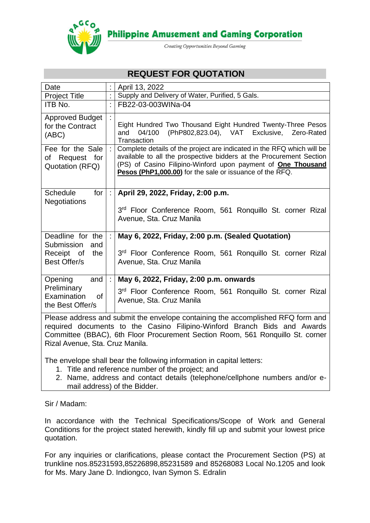

**Philippine Amusement and Gaming Corporation** 

Creating Opportunities Beyond Gaming

# **REQUEST FOR QUOTATION**

| Date                                                                                                                                                                                                                                                                  |         | April 13, 2022                                                                                                                                                                                                                                                                   |  |  |
|-----------------------------------------------------------------------------------------------------------------------------------------------------------------------------------------------------------------------------------------------------------------------|---------|----------------------------------------------------------------------------------------------------------------------------------------------------------------------------------------------------------------------------------------------------------------------------------|--|--|
| <b>Project Title</b>                                                                                                                                                                                                                                                  |         | Supply and Delivery of Water, Purified, 5 Gals.                                                                                                                                                                                                                                  |  |  |
| ITB No.                                                                                                                                                                                                                                                               |         | FB22-03-003WINa-04                                                                                                                                                                                                                                                               |  |  |
| <b>Approved Budget</b><br>for the Contract<br>(ABC)                                                                                                                                                                                                                   |         | Eight Hundred Two Thousand Eight Hundred Twenty-Three Pesos<br>04/100<br>(PhP802,823.04), VAT Exclusive,<br>and<br>Zero-Rated<br>Transaction                                                                                                                                     |  |  |
| Fee for the Sale<br>of Request for<br>Quotation (RFQ)                                                                                                                                                                                                                 | ÷.      | Complete details of the project are indicated in the RFQ which will be<br>available to all the prospective bidders at the Procurement Section<br>(PS) of Casino Filipino-Winford upon payment of <b>One Thousand</b><br>Pesos (PhP1,000.00) for the sale or issuance of the RFQ. |  |  |
| <b>Schedule</b><br>for<br><b>Negotiations</b>                                                                                                                                                                                                                         | ÷.      | April 29, 2022, Friday, 2:00 p.m.<br>3rd Floor Conference Room, 561 Ronquillo St. corner Rizal<br>Avenue, Sta. Cruz Manila                                                                                                                                                       |  |  |
| Deadline for the<br>Submission<br>and<br>Receipt of<br>the                                                                                                                                                                                                            | $\pm$ 1 | May 6, 2022, Friday, 2:00 p.m. (Sealed Quotation)<br>3rd Floor Conference Room, 561 Ronquillo St. corner Rizal                                                                                                                                                                   |  |  |
| <b>Best Offer/s</b>                                                                                                                                                                                                                                                   |         | Avenue, Sta. Cruz Manila                                                                                                                                                                                                                                                         |  |  |
| Opening<br>and                                                                                                                                                                                                                                                        | ÷.      | May 6, 2022, Friday, 2:00 p.m. onwards                                                                                                                                                                                                                                           |  |  |
| Preliminary<br>Examination<br><b>of</b><br>the Best Offer/s                                                                                                                                                                                                           |         | 3rd Floor Conference Room, 561 Ronquillo St. corner Rizal<br>Avenue, Sta. Cruz Manila                                                                                                                                                                                            |  |  |
| Please address and submit the envelope containing the accomplished RFQ form and<br>$\mathbf{C}$ and $\mathbf{C}$ and $\mathbf{C}$ and $\mathbf{C}$ is the set of $\mathbf{C}$ and $\mathbf{C}$ is the set of $\mathbf{C}$ and $\mathbf{C}$ is the set of $\mathbf{C}$ |         |                                                                                                                                                                                                                                                                                  |  |  |

required documents to the Casino Filipino-Winford Branch Bids and Awards Committee (BBAC), 6th Floor Procurement Section Room, 561 Ronquillo St. corner Rizal Avenue, Sta. Cruz Manila.

The envelope shall bear the following information in capital letters:

- 1. Title and reference number of the project; and
- 2. Name, address and contact details (telephone/cellphone numbers and/or email address) of the Bidder.

Sir / Madam:

In accordance with the Technical Specifications/Scope of Work and General Conditions for the project stated herewith, kindly fill up and submit your lowest price quotation.

For any inquiries or clarifications, please contact the Procurement Section (PS) at trunkline nos.85231593,85226898,85231589 and 85268083 Local No.1205 and look for Ms. Mary Jane D. Indiongco, Ivan Symon S. Edralin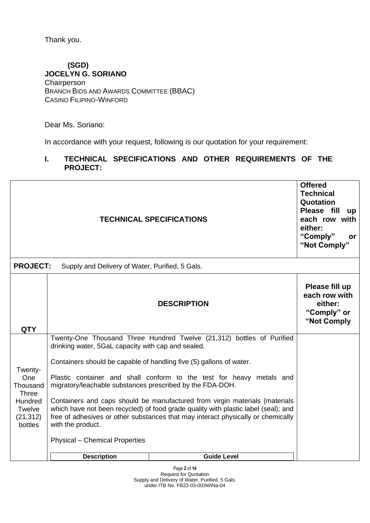Thank you.

### **(SGD) JOCELYN G. SORIANO Chairperson** BRANCH BIDS AND AWARDS COMMITTEE (BBAC)

CASINO FILIPINO-WINFORD

Dear Ms. Soriano:

In accordance with your request, following is our quotation for your requirement:

### **I. TECHNICAL SPECIFICATIONS AND OTHER REQUIREMENTS OF THE PROJECT:**

|                                                                                     |                                                                                  | <b>TECHNICAL SPECIFICATIONS</b>                                                                                                                                                                                                                                                                                                                                                                      | <b>Offered</b><br><b>Technical</b><br>Quotation<br>Please fill<br><b>up</b><br>each row with<br>either:<br>"Comply"<br>or<br>"Not Comply" |
|-------------------------------------------------------------------------------------|----------------------------------------------------------------------------------|------------------------------------------------------------------------------------------------------------------------------------------------------------------------------------------------------------------------------------------------------------------------------------------------------------------------------------------------------------------------------------------------------|-------------------------------------------------------------------------------------------------------------------------------------------|
| <b>PROJECT:</b>                                                                     | Supply and Delivery of Water, Purified, 5 Gals.                                  |                                                                                                                                                                                                                                                                                                                                                                                                      |                                                                                                                                           |
| <b>QTY</b>                                                                          |                                                                                  | <b>DESCRIPTION</b>                                                                                                                                                                                                                                                                                                                                                                                   | Please fill up<br>each row with<br>either:<br>"Comply" or<br>"Not Comply                                                                  |
|                                                                                     | drinking water, 5GaL capacity with cap and sealed.                               | Twenty-One Thousand Three Hundred Twelve (21,312) bottles of Purified                                                                                                                                                                                                                                                                                                                                |                                                                                                                                           |
| Twenty-<br><b>One</b><br>Thousand<br><b>Three</b><br>Hundred<br>Twelve<br>(21, 312) | migratory/leachable substances prescribed by the FDA-DOH.                        | Containers should be capable of handling five (5) gallons of water.<br>Plastic container and shall conform to the test for heavy metals and<br>Containers and caps should be manufactured from virgin materials (materials<br>which have not been recycled) of food grade quality with plastic label (seal); and<br>free of adhesives or other substances that may interact physically or chemically |                                                                                                                                           |
| bottles                                                                             | with the product.<br><b>Physical - Chemical Properties</b><br><b>Description</b> | <b>Guide Level</b>                                                                                                                                                                                                                                                                                                                                                                                   |                                                                                                                                           |
|                                                                                     |                                                                                  |                                                                                                                                                                                                                                                                                                                                                                                                      |                                                                                                                                           |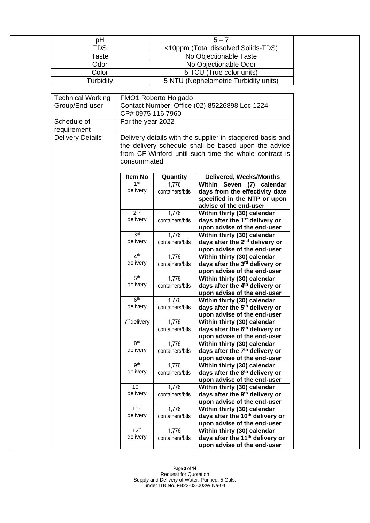| pH                       |                                                                    |                                       | $5 - 7$                                               |  |
|--------------------------|--------------------------------------------------------------------|---------------------------------------|-------------------------------------------------------|--|
| TDS                      |                                                                    | <10ppm (Total dissolved Solids-TDS)   |                                                       |  |
| Taste                    |                                                                    | No Objectionable Taste                |                                                       |  |
| Odor                     |                                                                    |                                       |                                                       |  |
|                          |                                                                    | No Objectionable Odor                 |                                                       |  |
| Color                    |                                                                    | 5 TCU (True color units)              |                                                       |  |
| Turbidity                |                                                                    | 5 NTU (Nephelometric Turbidity units) |                                                       |  |
|                          |                                                                    |                                       |                                                       |  |
| <b>Technical Working</b> |                                                                    | FMO1 Roberto Holgado                  |                                                       |  |
| Group/End-user           | Contact Number: Office (02) 85226898 Loc 1224<br>CP# 0975 116 7960 |                                       |                                                       |  |
|                          |                                                                    |                                       |                                                       |  |
| Schedule of              | For the year 2022                                                  |                                       |                                                       |  |
| requirement              |                                                                    |                                       |                                                       |  |
| <b>Delivery Details</b>  | Delivery details with the supplier in staggered basis and          |                                       |                                                       |  |
|                          |                                                                    |                                       | the delivery schedule shall be based upon the advice  |  |
|                          |                                                                    |                                       | from CF-Winford until such time the whole contract is |  |
|                          | consummated                                                        |                                       |                                                       |  |
|                          |                                                                    |                                       |                                                       |  |
|                          | Item No                                                            | Quantity                              | Delivered, Weeks/Months                               |  |
|                          | 1 <sup>st</sup>                                                    | 1,776                                 | Within Seven (7) calendar                             |  |
|                          | delivery                                                           | containers/btls                       | days from the effectivity date                        |  |
|                          |                                                                    |                                       | specified in the NTP or upon                          |  |
|                          |                                                                    |                                       | advise of the end-user                                |  |
|                          | 2 <sub>nd</sub>                                                    | 1,776                                 | Within thirty (30) calendar                           |  |
|                          | delivery                                                           | containers/btls                       | days after the 1 <sup>st</sup> delivery or            |  |
|                          |                                                                    |                                       | upon advise of the end-user                           |  |
|                          | 3 <sub>ld</sub>                                                    | 1,776                                 | Within thirty (30) calendar                           |  |
|                          | delivery                                                           | containers/btls                       | days after the 2 <sup>nd</sup> delivery or            |  |
|                          |                                                                    |                                       | upon advise of the end-user                           |  |
|                          | 4 <sup>th</sup>                                                    | 1,776                                 | Within thirty (30) calendar                           |  |
|                          | delivery                                                           | containers/btls                       | days after the 3rd delivery or                        |  |
|                          |                                                                    |                                       | upon advise of the end-user                           |  |
|                          | 5 <sup>th</sup>                                                    | 1,776                                 | Within thirty (30) calendar                           |  |
|                          | delivery                                                           | containers/btls                       | days after the 4 <sup>th</sup> delivery or            |  |
|                          |                                                                    |                                       | upon advise of the end-user                           |  |
|                          | 6 <sup>th</sup>                                                    | 1.776                                 | Within thirty (30) calendar                           |  |
|                          | delivery                                                           | containers/btls                       | days after the 5 <sup>th</sup> delivery or            |  |
|                          |                                                                    |                                       | upon advise of the end-user                           |  |
|                          | 7 <sup>th</sup> delivery                                           | 1,776                                 | Within thirty (30) calendar                           |  |
|                          |                                                                    | containers/btls                       | days after the 6 <sup>th</sup> delivery or            |  |
|                          |                                                                    |                                       | upon advise of the end-user                           |  |
|                          | 8 <sup>th</sup>                                                    | 1,776                                 | Within thirty (30) calendar                           |  |
|                          | delivery                                                           | containers/btls                       | days after the 7 <sup>th</sup> delivery or            |  |
|                          |                                                                    |                                       | upon advise of the end-user                           |  |
|                          | gth                                                                | 1,776                                 | Within thirty (30) calendar                           |  |
|                          | delivery                                                           | containers/btls                       | days after the 8 <sup>th</sup> delivery or            |  |
|                          |                                                                    |                                       | upon advise of the end-user                           |  |
|                          | 10 <sup>th</sup>                                                   | 1,776                                 | Within thirty (30) calendar                           |  |
|                          | delivery                                                           | containers/btls                       | days after the 9 <sup>th</sup> delivery or            |  |
|                          |                                                                    |                                       | upon advise of the end-user                           |  |
|                          | 11 <sup>th</sup>                                                   | 1,776                                 | Within thirty (30) calendar                           |  |
|                          | delivery                                                           | containers/btls                       | days after the 10 <sup>th</sup> delivery or           |  |
|                          |                                                                    |                                       | upon advise of the end-user                           |  |
|                          | 12 <sup>th</sup>                                                   | 1,776                                 | Within thirty (30) calendar                           |  |
|                          | delivery                                                           | containers/btls                       | days after the 11 <sup>th</sup> delivery or           |  |
|                          |                                                                    |                                       | upon advise of the end-user                           |  |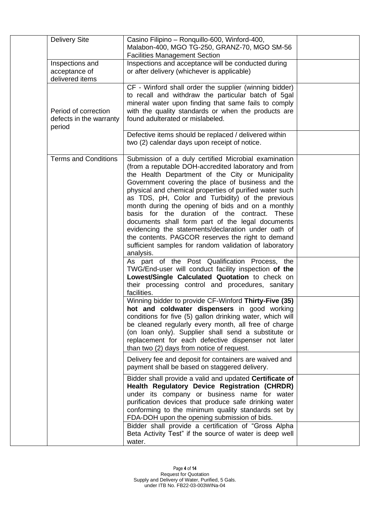| <b>Delivery Site</b>                                      | Casino Filipino - Ronquillo-600, Winford-400,<br>Malabon-400, MGO TG-250, GRANZ-70, MGO SM-56<br><b>Facilities Management Section</b>                                                                                                                                                                                                                                                                                                                                                                                                                                                                                                                                              |  |
|-----------------------------------------------------------|------------------------------------------------------------------------------------------------------------------------------------------------------------------------------------------------------------------------------------------------------------------------------------------------------------------------------------------------------------------------------------------------------------------------------------------------------------------------------------------------------------------------------------------------------------------------------------------------------------------------------------------------------------------------------------|--|
| Inspections and<br>acceptance of<br>delivered items       | Inspections and acceptance will be conducted during<br>or after delivery (whichever is applicable)                                                                                                                                                                                                                                                                                                                                                                                                                                                                                                                                                                                 |  |
| Period of correction<br>defects in the warranty<br>period | CF - Winford shall order the supplier (winning bidder)<br>to recall and withdraw the particular batch of 5gal<br>mineral water upon finding that same fails to comply<br>with the quality standards or when the products are<br>found adulterated or mislabeled.                                                                                                                                                                                                                                                                                                                                                                                                                   |  |
|                                                           | Defective items should be replaced / delivered within<br>two (2) calendar days upon receipt of notice.                                                                                                                                                                                                                                                                                                                                                                                                                                                                                                                                                                             |  |
| <b>Terms and Conditions</b>                               | Submission of a duly certified Microbial examination<br>(from a reputable DOH-accredited laboratory and from<br>the Health Department of the City or Municipality<br>Government covering the place of business and the<br>physical and chemical properties of purified water such<br>as TDS, pH, Color and Turbidity) of the previous<br>month during the opening of bids and on a monthly<br>basis for the duration of the contract. These<br>documents shall form part of the legal documents<br>evidencing the statements/declaration under oath of<br>the contents. PAGCOR reserves the right to demand<br>sufficient samples for random validation of laboratory<br>analysis. |  |
|                                                           | As part of the Post Qualification Process, the<br>TWG/End-user will conduct facility inspection of the<br>Lowest/Single Calculated Quotation to check on<br>their processing control and procedures, sanitary<br>facilities.                                                                                                                                                                                                                                                                                                                                                                                                                                                       |  |
|                                                           | Winning bidder to provide CF-Winford Thirty-Five (35)<br>hot and coldwater dispensers in good working<br>conditions for five (5) gallon drinking water, which will<br>be cleaned regularly every month, all free of charge<br>(on loan only). Supplier shall send a substitute or<br>replacement for each defective dispenser not later<br>than two (2) days from notice of request.                                                                                                                                                                                                                                                                                               |  |
|                                                           | Delivery fee and deposit for containers are waived and<br>payment shall be based on staggered delivery.                                                                                                                                                                                                                                                                                                                                                                                                                                                                                                                                                                            |  |
|                                                           | Bidder shall provide a valid and updated Certificate of<br>Health Regulatory Device Registration (CHRDR)<br>under its company or business name for water<br>purification devices that produce safe drinking water<br>conforming to the minimum quality standards set by<br>FDA-DOH upon the opening submission of bids.                                                                                                                                                                                                                                                                                                                                                            |  |
|                                                           | Bidder shall provide a certification of "Gross Alpha<br>Beta Activity Test" if the source of water is deep well<br>water.                                                                                                                                                                                                                                                                                                                                                                                                                                                                                                                                                          |  |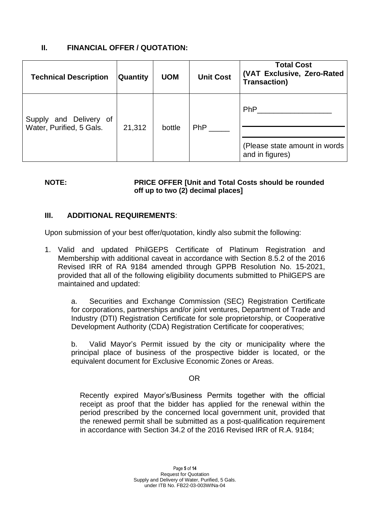## **II. FINANCIAL OFFER / QUOTATION:**

| <b>Technical Description</b>                       | Quantity | <b>UOM</b> | <b>Unit Cost</b> | <b>Total Cost</b><br>(VAT Exclusive, Zero-Rated<br><b>Transaction)</b> |
|----------------------------------------------------|----------|------------|------------------|------------------------------------------------------------------------|
| Supply and Delivery of<br>Water, Purified, 5 Gals. | 21,312   | bottle     | <b>PhP</b>       | <b>PhP</b><br>(Please state amount in words)<br>and in figures)        |

#### **NOTE: PRICE OFFER [Unit and Total Costs should be rounded off up to two (2) decimal places]**

### **III. ADDITIONAL REQUIREMENTS**:

Upon submission of your best offer/quotation, kindly also submit the following:

1. Valid and updated PhilGEPS Certificate of Platinum Registration and Membership with additional caveat in accordance with Section 8.5.2 of the 2016 Revised IRR of RA 9184 amended through GPPB Resolution No. 15-2021, provided that all of the following eligibility documents submitted to PhilGEPS are maintained and updated:

a. Securities and Exchange Commission (SEC) Registration Certificate for corporations, partnerships and/or joint ventures, Department of Trade and Industry (DTI) Registration Certificate for sole proprietorship, or Cooperative Development Authority (CDA) Registration Certificate for cooperatives;

b. Valid Mayor's Permit issued by the city or municipality where the principal place of business of the prospective bidder is located, or the equivalent document for Exclusive Economic Zones or Areas.

#### **OR** Service Service Service Service Service Service Service Service Service Service Service Service Service Service Service Service Service Service Service Service Service Service Service Service Service Service Service S

Recently expired Mayor's/Business Permits together with the official receipt as proof that the bidder has applied for the renewal within the period prescribed by the concerned local government unit, provided that the renewed permit shall be submitted as a post-qualification requirement in accordance with Section 34.2 of the 2016 Revised IRR of R.A. 9184;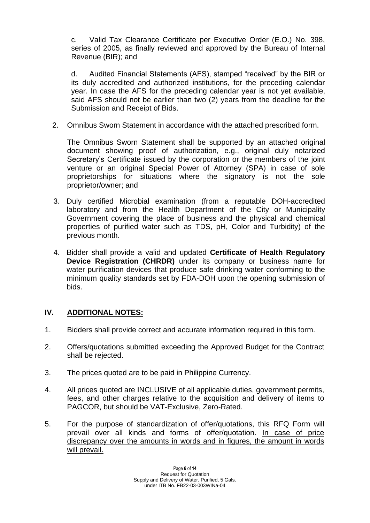c. Valid Tax Clearance Certificate per Executive Order (E.O.) No. 398, series of 2005, as finally reviewed and approved by the Bureau of Internal Revenue (BIR); and

d. Audited Financial Statements (AFS), stamped "received" by the BIR or its duly accredited and authorized institutions, for the preceding calendar year. In case the AFS for the preceding calendar year is not yet available, said AFS should not be earlier than two (2) years from the deadline for the Submission and Receipt of Bids.

2. Omnibus Sworn Statement in accordance with the attached prescribed form.

The Omnibus Sworn Statement shall be supported by an attached original document showing proof of authorization, e.g., original duly notarized Secretary's Certificate issued by the corporation or the members of the joint venture or an original Special Power of Attorney (SPA) in case of sole proprietorships for situations where the signatory is not the sole proprietor/owner; and

- 3. Duly certified Microbial examination (from a reputable DOH-accredited laboratory and from the Health Department of the City or Municipality Government covering the place of business and the physical and chemical properties of purified water such as TDS, pH, Color and Turbidity) of the previous month.
- 4. Bidder shall provide a valid and updated **Certificate of Health Regulatory Device Registration (CHRDR)** under its company or business name for water purification devices that produce safe drinking water conforming to the minimum quality standards set by FDA-DOH upon the opening submission of bids.

## **IV. ADDITIONAL NOTES:**

- 1. Bidders shall provide correct and accurate information required in this form.
- 2. Offers/quotations submitted exceeding the Approved Budget for the Contract shall be rejected.
- 3. The prices quoted are to be paid in Philippine Currency.
- 4. All prices quoted are INCLUSIVE of all applicable duties, government permits, fees, and other charges relative to the acquisition and delivery of items to PAGCOR, but should be VAT-Exclusive, Zero-Rated.
- 5. For the purpose of standardization of offer/quotations, this RFQ Form will prevail over all kinds and forms of offer/quotation. In case of price discrepancy over the amounts in words and in figures, the amount in words will prevail.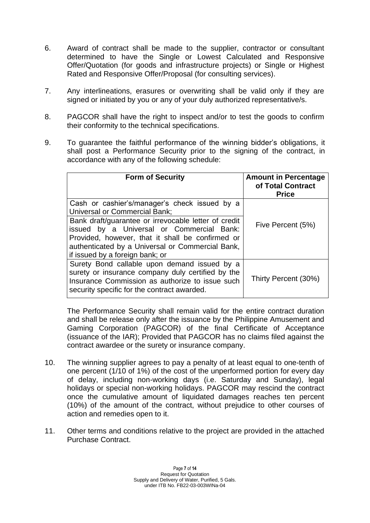- 6. Award of contract shall be made to the supplier, contractor or consultant determined to have the Single or Lowest Calculated and Responsive Offer/Quotation (for goods and infrastructure projects) or Single or Highest Rated and Responsive Offer/Proposal (for consulting services).
- 7. Any interlineations, erasures or overwriting shall be valid only if they are signed or initiated by you or any of your duly authorized representative/s.
- 8. PAGCOR shall have the right to inspect and/or to test the goods to confirm their conformity to the technical specifications.
- 9. To guarantee the faithful performance of the winning bidder's obligations, it shall post a Performance Security prior to the signing of the contract, in accordance with any of the following schedule:

| <b>Form of Security</b>                                                                                                                                                                                                                      | <b>Amount in Percentage</b><br>of Total Contract<br><b>Price</b> |
|----------------------------------------------------------------------------------------------------------------------------------------------------------------------------------------------------------------------------------------------|------------------------------------------------------------------|
| Cash or cashier's/manager's check issued by a<br><b>Universal or Commercial Bank;</b>                                                                                                                                                        |                                                                  |
| Bank draft/guarantee or irrevocable letter of credit<br>issued by a Universal or Commercial Bank:<br>Provided, however, that it shall be confirmed or<br>authenticated by a Universal or Commercial Bank,<br>if issued by a foreign bank; or | Five Percent (5%)                                                |
| Surety Bond callable upon demand issued by a<br>surety or insurance company duly certified by the<br>Insurance Commission as authorize to issue such<br>security specific for the contract awarded.                                          | Thirty Percent (30%)                                             |

The Performance Security shall remain valid for the entire contract duration and shall be release only after the issuance by the Philippine Amusement and Gaming Corporation (PAGCOR) of the final Certificate of Acceptance (issuance of the IAR); Provided that PAGCOR has no claims filed against the contract awardee or the surety or insurance company.

- 10. The winning supplier agrees to pay a penalty of at least equal to one-tenth of one percent (1/10 of 1%) of the cost of the unperformed portion for every day of delay, including non-working days (i.e. Saturday and Sunday), legal holidays or special non-working holidays. PAGCOR may rescind the contract once the cumulative amount of liquidated damages reaches ten percent (10%) of the amount of the contract, without prejudice to other courses of action and remedies open to it.
- 11. Other terms and conditions relative to the project are provided in the attached Purchase Contract.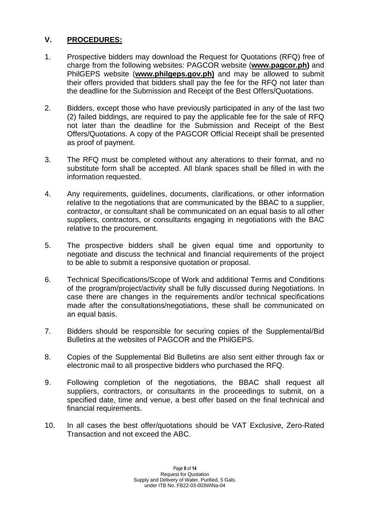### **V. PROCEDURES:**

- 1. Prospective bidders may download the Request for Quotations (RFQ) free of charge from the following websites: PAGCOR website (**[www.pagcor.ph\)](http://www.pagcor.ph/)** and PhilGEPS website (**www.philgeps.gov.ph)** and may be allowed to submit their offers provided that bidders shall pay the fee for the RFQ not later than the deadline for the Submission and Receipt of the Best Offers/Quotations.
- 2. Bidders, except those who have previously participated in any of the last two (2) failed biddings, are required to pay the applicable fee for the sale of RFQ not later than the deadline for the Submission and Receipt of the Best Offers/Quotations. A copy of the PAGCOR Official Receipt shall be presented as proof of payment.
- 3. The RFQ must be completed without any alterations to their format, and no substitute form shall be accepted. All blank spaces shall be filled in with the information requested.
- 4. Any requirements, guidelines, documents, clarifications, or other information relative to the negotiations that are communicated by the BBAC to a supplier, contractor, or consultant shall be communicated on an equal basis to all other suppliers, contractors, or consultants engaging in negotiations with the BAC relative to the procurement.
- 5. The prospective bidders shall be given equal time and opportunity to negotiate and discuss the technical and financial requirements of the project to be able to submit a responsive quotation or proposal.
- 6. Technical Specifications/Scope of Work and additional Terms and Conditions of the program/project/activity shall be fully discussed during Negotiations. In case there are changes in the requirements and/or technical specifications made after the consultations/negotiations, these shall be communicated on an equal basis.
- 7. Bidders should be responsible for securing copies of the Supplemental/Bid Bulletins at the websites of PAGCOR and the PhilGEPS.
- 8. Copies of the Supplemental Bid Bulletins are also sent either through fax or electronic mail to all prospective bidders who purchased the RFQ.
- 9. Following completion of the negotiations, the BBAC shall request all suppliers, contractors, or consultants in the proceedings to submit, on a specified date, time and venue, a best offer based on the final technical and financial requirements.
- 10. In all cases the best offer/quotations should be VAT Exclusive, Zero-Rated Transaction and not exceed the ABC.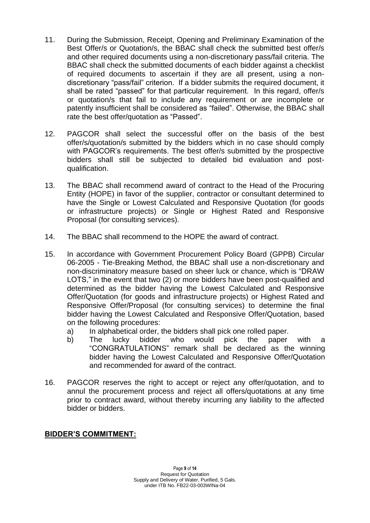- 11. During the Submission, Receipt, Opening and Preliminary Examination of the Best Offer/s or Quotation/s, the BBAC shall check the submitted best offer/s and other required documents using a non-discretionary pass/fail criteria. The BBAC shall check the submitted documents of each bidder against a checklist of required documents to ascertain if they are all present, using a nondiscretionary "pass/fail" criterion. If a bidder submits the required document, it shall be rated "passed" for that particular requirement. In this regard, offer/s or quotation/s that fail to include any requirement or are incomplete or patently insufficient shall be considered as "failed". Otherwise, the BBAC shall rate the best offer/quotation as "Passed".
- 12. PAGCOR shall select the successful offer on the basis of the best offer/s/quotation/s submitted by the bidders which in no case should comply with PAGCOR's requirements. The best offer/s submitted by the prospective bidders shall still be subjected to detailed bid evaluation and postqualification.
- 13. The BBAC shall recommend award of contract to the Head of the Procuring Entity (HOPE) in favor of the supplier, contractor or consultant determined to have the Single or Lowest Calculated and Responsive Quotation (for goods or infrastructure projects) or Single or Highest Rated and Responsive Proposal (for consulting services).
- 14. The BBAC shall recommend to the HOPE the award of contract.
- 15. In accordance with Government Procurement Policy Board (GPPB) Circular 06-2005 - Tie-Breaking Method, the BBAC shall use a non-discretionary and non-discriminatory measure based on sheer luck or chance, which is "DRAW LOTS," in the event that two (2) or more bidders have been post-qualified and determined as the bidder having the Lowest Calculated and Responsive Offer/Quotation (for goods and infrastructure projects) or Highest Rated and Responsive Offer/Proposal (for consulting services) to determine the final bidder having the Lowest Calculated and Responsive Offer/Quotation, based on the following procedures:
	- a) In alphabetical order, the bidders shall pick one rolled paper.
	- b) The lucky bidder who would pick the paper with a "CONGRATULATIONS" remark shall be declared as the winning bidder having the Lowest Calculated and Responsive Offer/Quotation and recommended for award of the contract.
- 16. PAGCOR reserves the right to accept or reject any offer/quotation, and to annul the procurement process and reject all offers/quotations at any time prior to contract award, without thereby incurring any liability to the affected bidder or bidders.

### **BIDDER'S COMMITMENT:**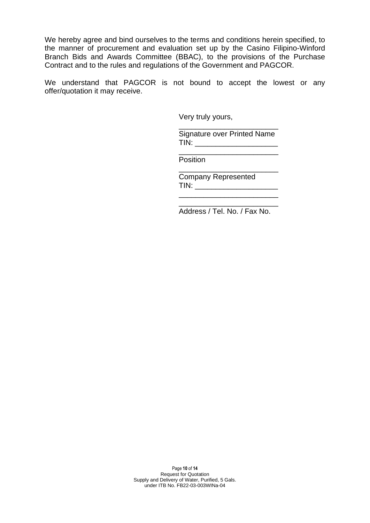We hereby agree and bind ourselves to the terms and conditions herein specified, to the manner of procurement and evaluation set up by the Casino Filipino-Winford Branch Bids and Awards Committee (BBAC), to the provisions of the Purchase Contract and to the rules and regulations of the Government and PAGCOR.

We understand that PAGCOR is not bound to accept the lowest or any offer/quotation it may receive.

Very truly yours,

\_\_\_\_\_\_\_\_\_\_\_\_\_\_\_\_\_\_\_\_\_\_\_\_ Signature over Printed Name TIN: \_\_\_\_\_\_\_\_\_\_\_\_\_\_\_\_\_\_\_\_

\_\_\_\_\_\_\_\_\_\_\_\_\_\_\_\_\_\_\_\_\_\_\_\_

\_\_\_\_\_\_\_\_\_\_\_\_\_\_\_\_\_\_\_\_\_\_\_\_

Position<sup>-</sup>

Company Represented TIN: \_\_\_\_\_\_\_\_\_\_\_\_\_\_\_\_\_\_\_\_

 $\frac{1}{\sqrt{2}}$  ,  $\frac{1}{\sqrt{2}}$  ,  $\frac{1}{\sqrt{2}}$  ,  $\frac{1}{\sqrt{2}}$  ,  $\frac{1}{\sqrt{2}}$  ,  $\frac{1}{\sqrt{2}}$  ,  $\frac{1}{\sqrt{2}}$  ,  $\frac{1}{\sqrt{2}}$  ,  $\frac{1}{\sqrt{2}}$  ,  $\frac{1}{\sqrt{2}}$  ,  $\frac{1}{\sqrt{2}}$  ,  $\frac{1}{\sqrt{2}}$  ,  $\frac{1}{\sqrt{2}}$  ,  $\frac{1}{\sqrt{2}}$  ,  $\frac{1}{\sqrt{2}}$ 

\_\_\_\_\_\_\_\_\_\_\_\_\_\_\_\_\_\_\_\_\_\_\_\_ Address / Tel. No. / Fax No.

Page **10** of **14** Request for Quotation Supply and Delivery of Water, Purified, 5 Gals. under ITB No. FB22-03-003WINa-04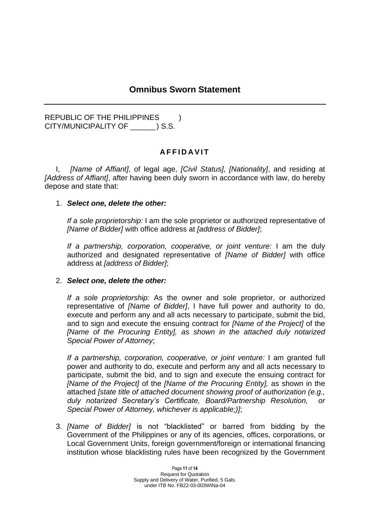# **Omnibus Sworn Statement**

REPUBLIC OF THE PHILIPPINES  $\qquad$ ) CITY/MUNICIPALITY OF \_\_\_\_\_\_ ) S.S.

### **A F F I D A V I T**

I, *[Name of Affiant]*, of legal age, *[Civil Status]*, *[Nationality]*, and residing at *[Address of Affiant]*, after having been duly sworn in accordance with law, do hereby depose and state that:

#### 1. *Select one, delete the other:*

*If a sole proprietorship:* I am the sole proprietor or authorized representative of *[Name of Bidder]* with office address at *[address of Bidder]*;

*If a partnership, corporation, cooperative, or joint venture:* I am the duly authorized and designated representative of *[Name of Bidder]* with office address at *[address of Bidder]*;

#### 2. *Select one, delete the other:*

*If a sole proprietorship:* As the owner and sole proprietor, or authorized representative of *[Name of Bidder]*, I have full power and authority to do, execute and perform any and all acts necessary to participate, submit the bid, and to sign and execute the ensuing contract for *[Name of the Project]* of the *[Name of the Procuring Entity], as shown in the attached duly notarized Special Power of Attorney*;

*If a partnership, corporation, cooperative, or joint venture:* I am granted full power and authority to do, execute and perform any and all acts necessary to participate, submit the bid, and to sign and execute the ensuing contract for *[Name of the Project]* of the *[Name of the Procuring Entity],* as shown in the attached *[state title of attached document showing proof of authorization (e.g., duly notarized Secretary's Certificate, Board/Partnership Resolution, or Special Power of Attorney, whichever is applicable;)]*;

3. *[Name of Bidder]* is not "blacklisted" or barred from bidding by the Government of the Philippines or any of its agencies, offices, corporations, or Local Government Units, foreign government/foreign or international financing institution whose blacklisting rules have been recognized by the Government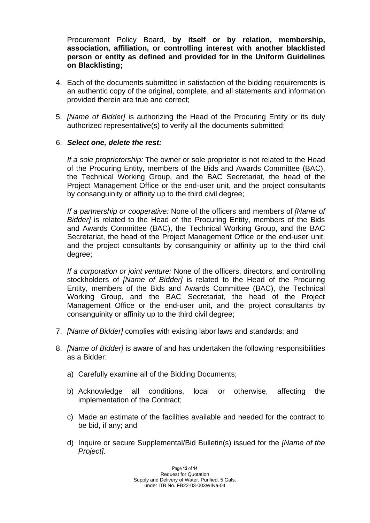Procurement Policy Board, **by itself or by relation, membership, association, affiliation, or controlling interest with another blacklisted person or entity as defined and provided for in the Uniform Guidelines on Blacklisting;**

- 4. Each of the documents submitted in satisfaction of the bidding requirements is an authentic copy of the original, complete, and all statements and information provided therein are true and correct;
- 5. *[Name of Bidder]* is authorizing the Head of the Procuring Entity or its duly authorized representative(s) to verify all the documents submitted;

### 6. *Select one, delete the rest:*

*If a sole proprietorship:* The owner or sole proprietor is not related to the Head of the Procuring Entity, members of the Bids and Awards Committee (BAC), the Technical Working Group, and the BAC Secretariat, the head of the Project Management Office or the end-user unit, and the project consultants by consanguinity or affinity up to the third civil degree;

*If a partnership or cooperative:* None of the officers and members of *[Name of Bidder]* is related to the Head of the Procuring Entity, members of the Bids and Awards Committee (BAC), the Technical Working Group, and the BAC Secretariat, the head of the Project Management Office or the end-user unit, and the project consultants by consanguinity or affinity up to the third civil degree;

*If a corporation or joint venture:* None of the officers, directors, and controlling stockholders of *[Name of Bidder]* is related to the Head of the Procuring Entity, members of the Bids and Awards Committee (BAC), the Technical Working Group, and the BAC Secretariat, the head of the Project Management Office or the end-user unit, and the project consultants by consanguinity or affinity up to the third civil degree;

- 7. *[Name of Bidder]* complies with existing labor laws and standards; and
- 8. *[Name of Bidder]* is aware of and has undertaken the following responsibilities as a Bidder:
	- a) Carefully examine all of the Bidding Documents;
	- b) Acknowledge all conditions, local or otherwise, affecting the implementation of the Contract;
	- c) Made an estimate of the facilities available and needed for the contract to be bid, if any; and
	- d) Inquire or secure Supplemental/Bid Bulletin(s) issued for the *[Name of the Project]*.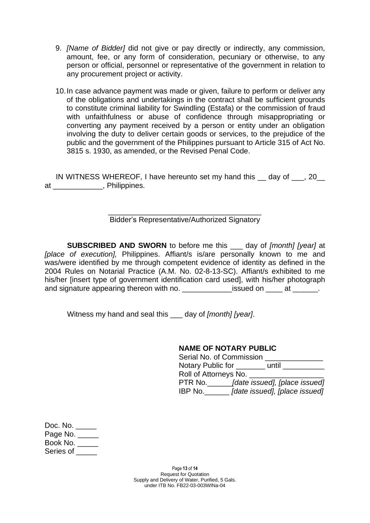- 9. *[Name of Bidder]* did not give or pay directly or indirectly, any commission, amount, fee, or any form of consideration, pecuniary or otherwise, to any person or official, personnel or representative of the government in relation to any procurement project or activity.
- 10.In case advance payment was made or given, failure to perform or deliver any of the obligations and undertakings in the contract shall be sufficient grounds to constitute criminal liability for Swindling (Estafa) or the commission of fraud with unfaithfulness or abuse of confidence through misappropriating or converting any payment received by a person or entity under an obligation involving the duty to deliver certain goods or services, to the prejudice of the public and the government of the Philippines pursuant to Article 315 of Act No. 3815 s. 1930, as amended, or the Revised Penal Code.

IN WITNESS WHEREOF, I have hereunto set my hand this \_\_ day of \_\_\_, 20\_\_ at \_\_\_\_\_\_\_\_\_\_\_\_, Philippines.

#### \_\_\_\_\_\_\_\_\_\_\_\_\_\_\_\_\_\_\_\_\_\_\_\_\_\_\_\_\_\_\_\_\_\_\_\_\_ Bidder's Representative/Authorized Signatory

**SUBSCRIBED AND SWORN** to before me this \_\_\_ day of *[month] [year]* at *[place of execution],* Philippines. Affiant/s is/are personally known to me and was/were identified by me through competent evidence of identity as defined in the 2004 Rules on Notarial Practice (A.M. No. 02-8-13-SC). Affiant/s exhibited to me his/her [insert type of government identification card used], with his/her photograph and signature appearing thereon with no. \_\_\_\_\_\_\_\_\_\_\_\_\_\_\_\_issued on \_\_\_\_\_\_ at \_\_\_\_\_\_\_.

Witness my hand and seal this \_\_\_ day of *[month] [year]*.

### **NAME OF NOTARY PUBLIC**

| Serial No. of Commission |                               |
|--------------------------|-------------------------------|
| Notary Public for        | until                         |
| Roll of Attorneys No.    |                               |
| PTR No.                  | [date issued], [place issued] |
| IBP No.                  | [date issued], [place issued] |

| Doc. No.   |  |
|------------|--|
| Page No. _ |  |
| Book No.   |  |
| Series of  |  |